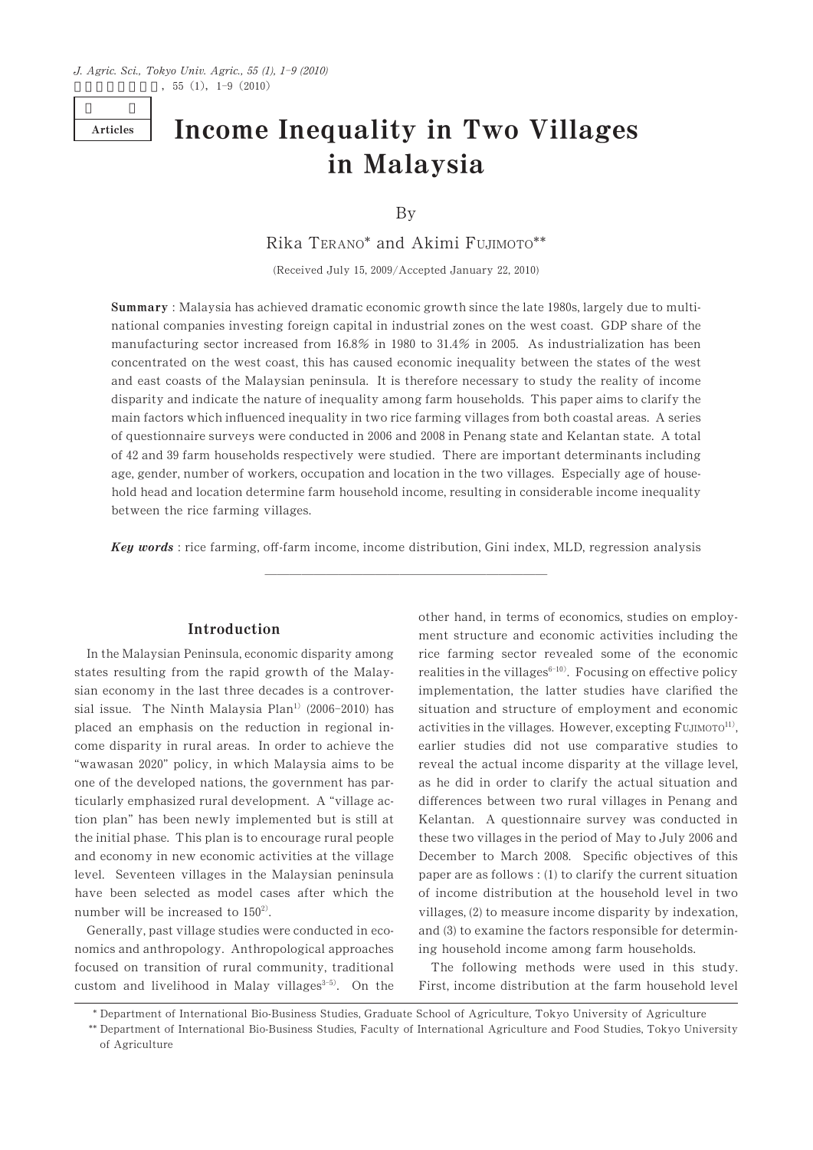Articles

# Income Inequality in Two Villages in Malaysia

By

Rika TERANO\* and Akimi FUJIMOTO\*\*

(Received July 15,  $2009/A$ ccepted January 22, 2010)

manufacturing sector increased from 16.8% in 1980 to 31.4% in 2005. As industrialization has been Summary: Malaysia has achieved dramatic economic growth since the late 1980s, largely due to multinational companies investing foreign capital in industrial zones on the west coast. GDP share of the concentrated on the west coast, this has caused economic inequality between the states of the west and east coasts of the Malaysian peninsula. It is therefore necessary to study the reality of income disparity and indicate the nature of inequality among farm households. This paper aims to clarify the main factors which influenced inequality in two rice farming villages from both coastal areas. A series of questionnaire surveys were conducted in 2006 and 2008 in Penang state and Kelantan state. A total of 42 and 39 farm households respectively were studied. There are important determinants including age, gender, number of workers, occupation and location in the two villages. Especially age of household head and location determine farm household income, resulting in considerable income inequality between the rice farming villages.

<u> 2002 - Jan James James James James James James James James James James James James James James James James J</u> Key words: rice farming, off-farm income, income distribution, Gini index, MLD, regression analysis

# Introduction

states resulting from the rapid growth of the Malay- realities in the villages<sup>6-10)</sup>. Focusing on effective policy  $^{(1)}$  (2006-2010 2) In the Malaysian Peninsula, economic disparity among sian economy in the last three decades is a controver- implementation, the latter studies have clarified the placed an emphasis on the reduction in regional income disparity in rural areas. In order to achieve the earlier studies did not use comparative studies to "wawasan 2020" policy, in which Malaysia aims to be reveal the actual income disparity at the village level, one of the developed nations, the government has par- as he did in order to clarify the actual situation and ticularly emphasized rural development. A "village action plan" has been newly implemented but is still at Kelantan. A questionnaire survey was conducted in the initial phase. This plan is to encourage rural people and economy in new economic activities at the village level. Seventeen villages in the Malaysian peninsula have been selected as model cases after which the of income distribution at the household level in two number will be increased to  $150^2$ .  $\blacksquare$  villages, (2) to measure income disparity by indexation,

custom and livelihood in Malay villages<sup> $3-5$ </sup>. On the First, income distribution at the farm household level nomics and anthropology. Anthropological approaches focused on transition of rural community, traditional The following methods were used in this study.

activities in the villages. However, excepting Fujimoro<sup>11)</sup>, other hand, in terms of economics, studies on employment structure and economic activities including the rice farming sector revealed some of the economic situation and structure of employment and economic Generally, past village studies were conducted in eco- and (3) to examine the factors responsible for determining household income among farm households. ff 2006 2008  $\overline{1}$ 

\* Department of International Bio-Business Studies, Graduate School of Agriculture, Tokyo University of Agriculture

Department of International Bio-Business Studies, Faculty of International Agriculture and Food Studies, Tokyo University \*\* of Agriculture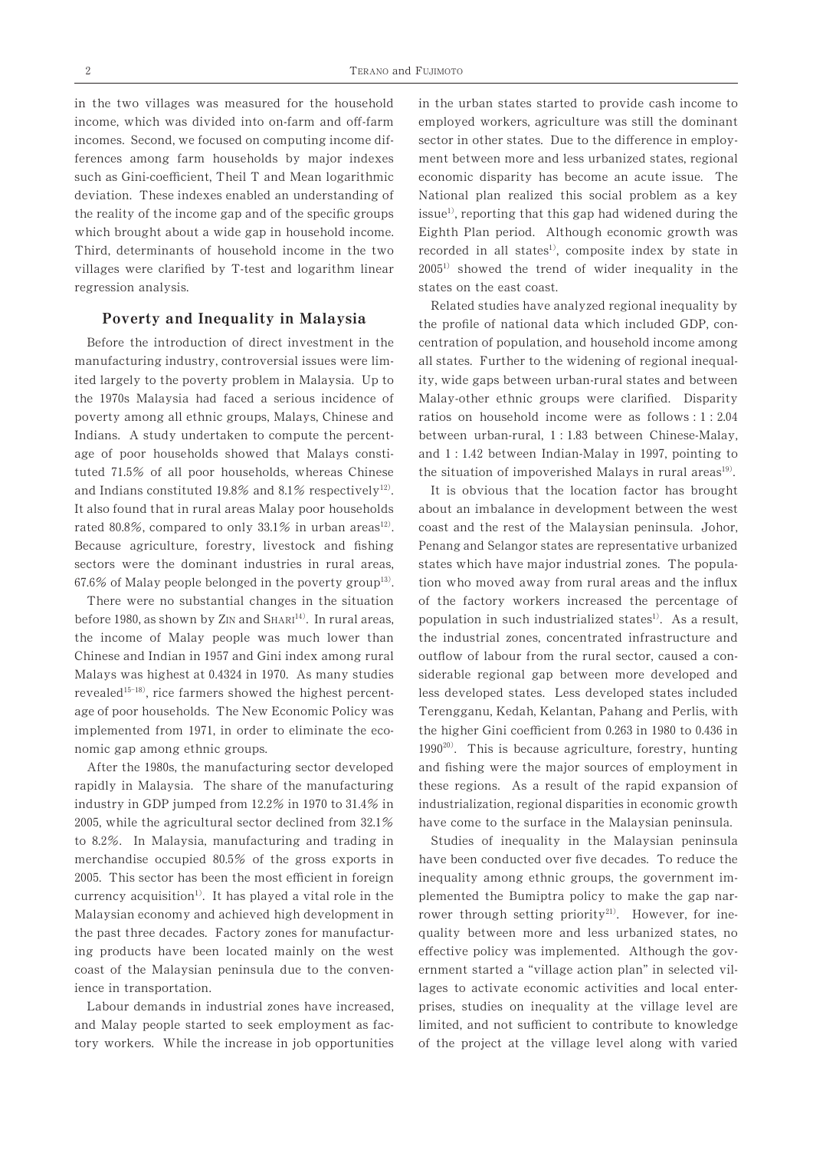ferences among farm households by major indexes ment between more and less urbanized states, regional deviation. These indexes enabled an understanding of National plan realized this social problem as a key which brought about a wide gap in household income. Eighth Plan period. Although economic growth was regression analysis. States on the east coast. ff ffi

## Poverty and Inequality in Malaysia

 $67.6\%$  of Malay people belonged in the poverty group<sup>13)</sup>. and Indians constituted 19.8% and 8.1% respectively<sup>12</sup>. It is obvious that the location factor has brought tuted 71.5% of all poor households, whereas Chinese the situation of impoverished Malays in rural areas<sup>19</sup>. poverty among all ethnic groups, Malays, Chinese and age of poor households showed that Malays consti-Because agriculture, forestry, livestock and fishing

 $15 - 18$ ) nomic gap among ethnic groups.  $1990^{20}$ . This is because agriculture, forestry, hunting Malays was highest at 0.4324 in 1970. As many studies siderable regional gap between more developed and implemented from 1971, in order to eliminate the eco-<br>the higher Gini coefficient from 0.263 in 1980 to 0.436 in 1957

currency acquisition<sup>1)</sup>. It has played a vital role in the  $i$ ndustry in GDP jumped from  $12.2\%$  in 1970 to  $31.4\%$  in 2005, while the agricultural sector declined from  $32.1\%$ to 8.2%. In Malaysia, manufacturing and trading in Studies of inequality in the merchandise occupied 80.5% of the gross exports in 2005. This sector has been the most efficient in foreign Malaysian economy and achieved high development in the past three decades. Factory zones for manufacturing products have been located mainly on the west coast of the Malaysian peninsula due to the convenience in transportation. 1980

Labour demands in industrial zones have increased, and Malay people started to seek employment as factory workers. While the increase in job opportunities

the reality of the income gap and of the specific groups issue<sup>1</sup>, reporting that this gap had widened during the Third, determinants of household income in the two recorded in all states<sup>1)</sup>, composite index by state in villages were clarified by T-test and logarithm linear 2005<sup>1</sup> showed the trend of wider inequality in the in the two villages was measured for the household in the urban states started to provide cash income to employed workers, agriculture was still the dominant incomes. Second, we focused on computing income dif-<br>sector in other states. Due to the difference in employeconomic disparity has become an acute issue. The

 $(19)$ Related studies have analyzed regional inequality by the profile of national data which included GDP, con-Before the introduction of direct investment in the centration of population, and household income among manufacturing industry, controversial issues were lim- all states. Further to the widening of regional inequalited largely to the poverty problem in Malaysia. Up to ity, wide gaps between urban-rural states and between the 1970s Malaysia had faced a serious incidence of Malay-other ethnic groups were clarified. Disparity Indians. A study undertaken to compute the percent-<br>between urban-rural, 1:1.83 between Chinese-Malay,  $1: 2.04$ 1:1.42 between Indian-Malay in 1997

rated 80.8%, compared to only 33.1% in urban areas<sup>12)</sup>. coast and the rest of the Malaysian peninsula. Johor, before 1980, as shown by  $Z_{IN}$  and  $SHART^{14}$ . In rural areas, population in such industrialized states<sup>1)</sup>. As a result, <sup>4)</sup> In rural areas population in such industrialized states<sup>1)</sup> industrialization, regional disparities in economic growth Penang and Selangor states are representative urbanized It also found that in rural areas Malay poor households about an imbalance in development between the west sectors were the dominant industries in rural areas, states which have major industrial zones. The population who moved away from rural areas and the influx There were no substantial changes in the situation of the factory workers increased the percentage of the income of Malay people was much lower than the industrial zones, concentrated infrastructure and outflow of labour from the rural sector, caused a conless developed states. Less developed states included age of poor households. The New Economic Policy was Terengganu, Kedah, Kelantan, Pahang and Perlis, with and fishing were the major sources of employment in rapidly in Malaysia. The share of the manufacturing these regions. As a result of the rapid expansion of have come to the surface in the Malaysian peninsula.

> rower through setting priority<sup>21)</sup>. However, for ine-Studies of inequality in the Malaysian peninsula have been conducted over five decades. To reduce the inequality among ethnic groups, the government implemented the Bumiptra policy to make the gap narquality between more and less urbanized states, no effective policy was implemented. Although the government started a "village action plan" in selected villages to activate economic activities and local enterprises, studies on inequality at the village level are limited, and not sufficient to contribute to knowledge of the project at the village level along with varied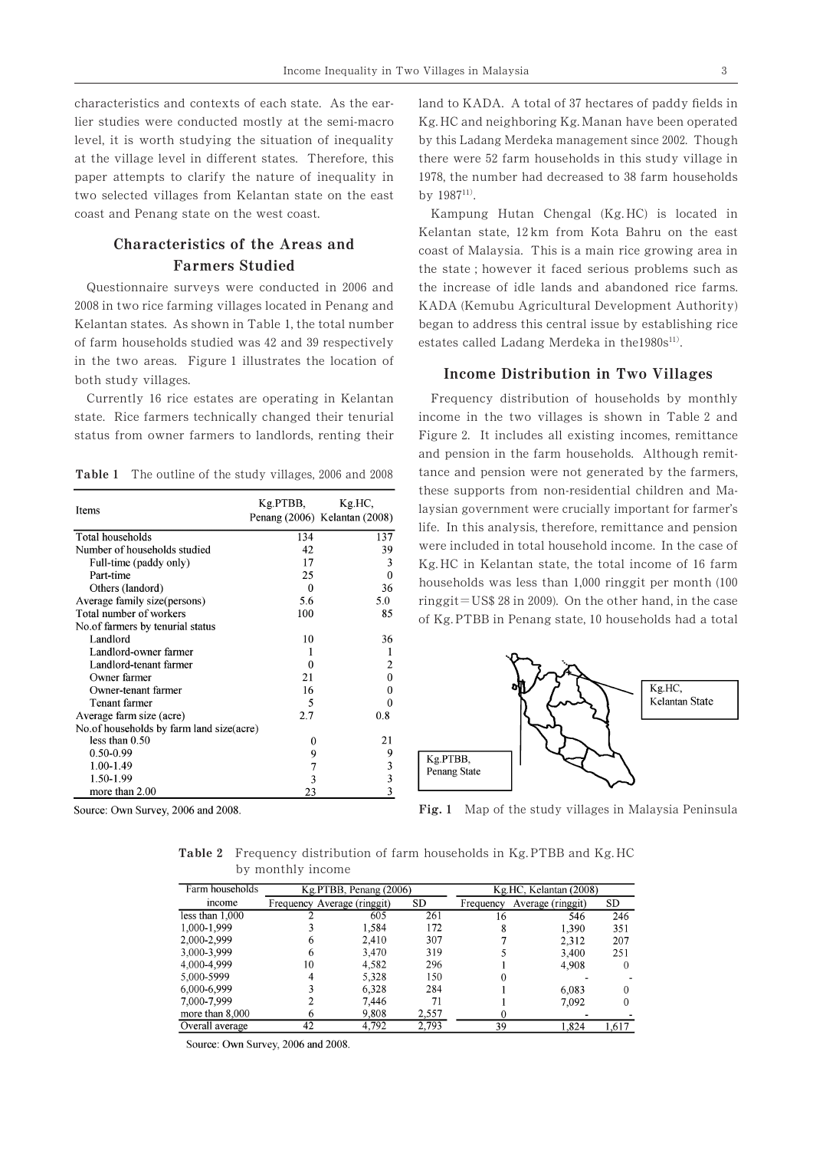characteristics and contexts of each state. As the ear- land to KADA. A total of 37 hectares of paddy fields in level, it is worth studying the situation of inequality paper attempts to clarify the nature of inequality in two selected villages from Kelantan state on the east coast and Penang state on the west coast. Kampung Hutan Chengal (Kg. HC) is located in

# Characteristics of the Areas and Farmers Studied

Kelantan states. As shown in Table 1, the total number began to address this central issue by establishing rice of farm households studied was 42 and 39 respectively in the two areas. Figure 1 illustrates the location of both study villages. 2006 2008

Currently 16 rice estates are operating in Kelantan Frequency distribution of households by monthly state. Rice farmers technically changed their tenurial income in the two villages is shown in Table 2 and status from owner farmers to landlords, renting their

Table 1 The outline of the study villages, 2006 and 2008

| Items                                      | Kg PTBB. | Kg.HC,<br>Penang (2006) Kelantan (2008) |
|--------------------------------------------|----------|-----------------------------------------|
| Total households                           | 134      | 137                                     |
| Number of households studied               | 42       | 39                                      |
| Full-time (paddy only)                     | 17       | 3                                       |
| Part-time                                  | 25       | 0                                       |
| Others (landord)                           | 0        | 36                                      |
| Average family size(persons)               | 5.6      | 5.0                                     |
| Total number of workers                    | 100      | 85                                      |
| No. of farmers by tenurial status          |          |                                         |
| Landlord                                   | 10       | 36                                      |
| Landlord-owner farmer                      |          | 1                                       |
| Landlord-tenant farmer                     | 0        | 2                                       |
| Owner farmer                               | 21       | 0                                       |
| Owner-tenant farmer                        | 16       | 0                                       |
| Tenant farmer                              | 5        | 0                                       |
| Average farm size (acre)                   | 2.7      | 0.8                                     |
| No. of households by farm land size (acre) |          |                                         |
| less than $0.50$                           | 0        | 21                                      |
| $0.50 - 0.99$                              | 9        | 9                                       |
| 1.00-1.49                                  | 7        | 3                                       |
| 1.50-1.99                                  | 3        | 3                                       |
| more than 2.00                             | 23       | 3                                       |
|                                            |          |                                         |

Source: Own Survey, 2006 and 2008.

 $1987^{11}$ by this Ladang Merdeka management since 2002. Though lier studies were conducted mostly at the semi-macro Kg. HC and neighboring Kg. Manan have been operated at the village level in different states. Therefore, this there were 52 farm households in this study village in there were 52 farm households in this study village in 1978, the number had decreased to 38 farm households

> 42 and 39 respectively estates called Ladang Merdeka in the1980s<sup>11)</sup> Kelantan state, 12km from Kota Bahru on the east coast of Malaysia. This is a main rice growing area in the state ; however it faced serious problems such as the increase of idle lands and abandoned rice farms. KADA (Kemubu Agricultural Development Authority)

#### Income Distribution in Two Villages

Income Inequality in Two Villages in Malaysia 3<br>
11 state. As the ear-<br>
1and to KADA. A total of 37 hectares of paddy fields<br>
at the semi-macro Kg.HC and neighboring Kg.Manan have been operat<br>
ation of inequality in this laysian government were crucially important for farmer's and pension in the farm households. Although remittance and pension were not generated by the farmers, these supports from non-residential children and Malife. In this analysis, therefore, remittance and pension were included in total household income. In the case of Kg.HC in Kelantan state, the total income of 16 farm households was less than 1,000 ringgit per month (100  $ringgit = US$ 28 in 2009$ . On the other hand, in the case of Kg. PTBB in Penang state, 10 households had a total ,



Fig. 1 Map of the study villages in Malaysia Peninsula

Table 2 Frequency distribution of farm households in Kg. PTBB and Kg. HC by monthly income

| Farm households   |                             | Kg.PTBB, Penang (2006) |           | Kg.HC, Kelantan (2008) |                   |           |  |
|-------------------|-----------------------------|------------------------|-----------|------------------------|-------------------|-----------|--|
| income            | Frequency Average (ringgit) |                        | <b>SD</b> | Frequency              | Average (ringgit) | <b>SD</b> |  |
| less than $1,000$ |                             | 605                    | 261       | 16                     | 546               | 246       |  |
| 1,000-1.999       |                             | 1,584                  | 172       |                        | 1.390             | 351       |  |
| 2,000-2,999       | 6                           | 2.410                  | 307       |                        | 2.312             | 207       |  |
| 3,000-3,999       | 6                           | 3.470                  | 319       |                        | 3,400             | 251       |  |
| 4,000-4,999       | 10                          | 4.582                  | 296       |                        | 4.908             | $^{(1)}$  |  |
| 5,000-5999        |                             | 5.328                  | 150       |                        |                   |           |  |
| 6,000-6,999       |                             | 6.328                  | 284       |                        | 6.083             | $\Omega$  |  |
| 7,000-7,999       |                             | 7.446                  | 71        |                        | 7.092             | 0         |  |
| more than 8,000   | o                           | 9,808                  | 2,557     |                        |                   |           |  |
| Overall average   | 42                          | 4.792                  | 2.793     | 39                     | 1.824             | 1,617     |  |

Source: Own Survey, 2006 and 2008.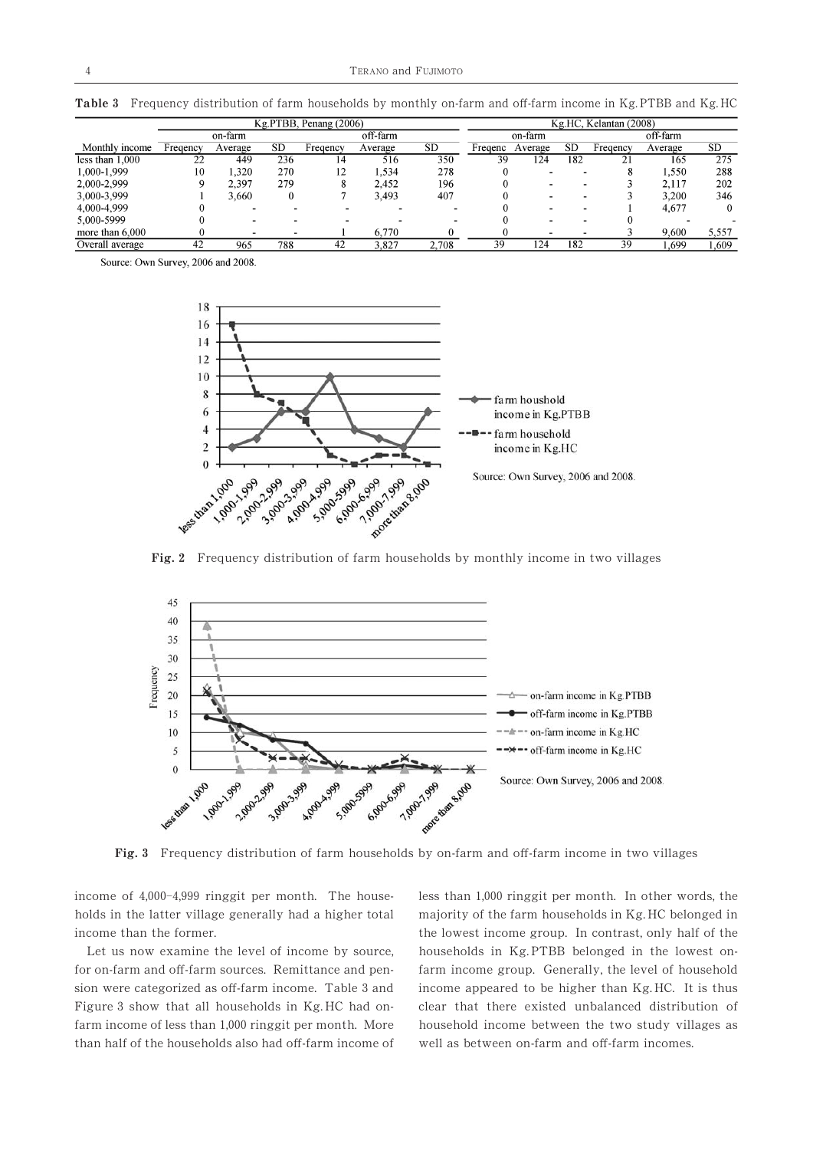Table 3 Frequency distribution of farm households by monthly on-farm and off-farm income in Kg. PTBB and Kg. HC

| Kg.PTBB, Penang (2006) |          |         |           |          |          |           |         | Kg.HC, Kelantan (2008) |           |                      |          |           |
|------------------------|----------|---------|-----------|----------|----------|-----------|---------|------------------------|-----------|----------------------|----------|-----------|
|                        |          | on-farm |           |          | off-farm |           |         | on-farm                |           |                      | off-farm |           |
| Monthly income         | Fregency | Average | <b>SD</b> | Fregency | Average  | <b>SD</b> | Fregenc | Average                | <b>SD</b> | Freqency             | Average  | <b>SD</b> |
| less than $1,000$      | 22       | 449     | 236       | 14       | 516      | 350       | 39      | 124                    | 182       | 21                   | 165      | 275       |
| 1.000-1.999            | 10       | 1.320   | 270       | 12       | 1.534    | 278       |         |                        | -         | $\ddot{\phantom{0}}$ | 1,550    | 288       |
| 2.000-2.999            |          | 2.397   | 279       | 8        | 2.452    | 196       |         | -                      | -         |                      | 2.117    | 202       |
| 3,000-3,999            |          | 3.660   | 0         |          | 3.493    | 407       |         |                        | -         |                      | 3,200    | 346       |
| 4.000-4.999            |          |         |           |          |          |           |         |                        |           |                      | 4.677    |           |
| 5.000-5999             |          |         |           |          |          |           |         | -                      | -         |                      |          |           |
| more than $6,000$      |          |         |           |          | 6.770    |           |         |                        |           |                      | 9,600    | 5.557     |
| Overall average        | 42       | 965     | 788       | 42       | 3.827    | 2,708     | 39      | 124                    | 182       | 39                   | .699     | .609      |

Source: Own Survey, 2006 and 2008.



Fig. 2 Frequency distribution of farm households by monthly income in two villages



Fig. 3 Frequency distribution of farm households by on-farm and off-farm income in two villages

4,000-4,999 ringgit per month. The house-<br>ess than 1,000 income of  $4,000-4,999$  ringgit per month. The house- less than  $1,000$  ringgit per month. In other words, the holds in the latter village generally had a higher total majority of the farm households in Kg. HC belonged in

than half of the households also had off-farm income of

income than the former. the lowest income group. In contrast, only half of the Let us now examine the level of income by source, households in Kg. PTBB belonged in the lowest onfor on-farm and off-farm sources. Remittance and pen- farm income group. Generally, the level of household sion were categorized as off-farm income. Table 3 and income appeared to be higher than Kg. HC. It is thus Figure 3 show that all households in Kg. HC had on- clear that there existed unbalanced distribution of farm income of less than 1,000 ringgit per month. More household income between the two study villages as well as between on-farm and off-farm incomes.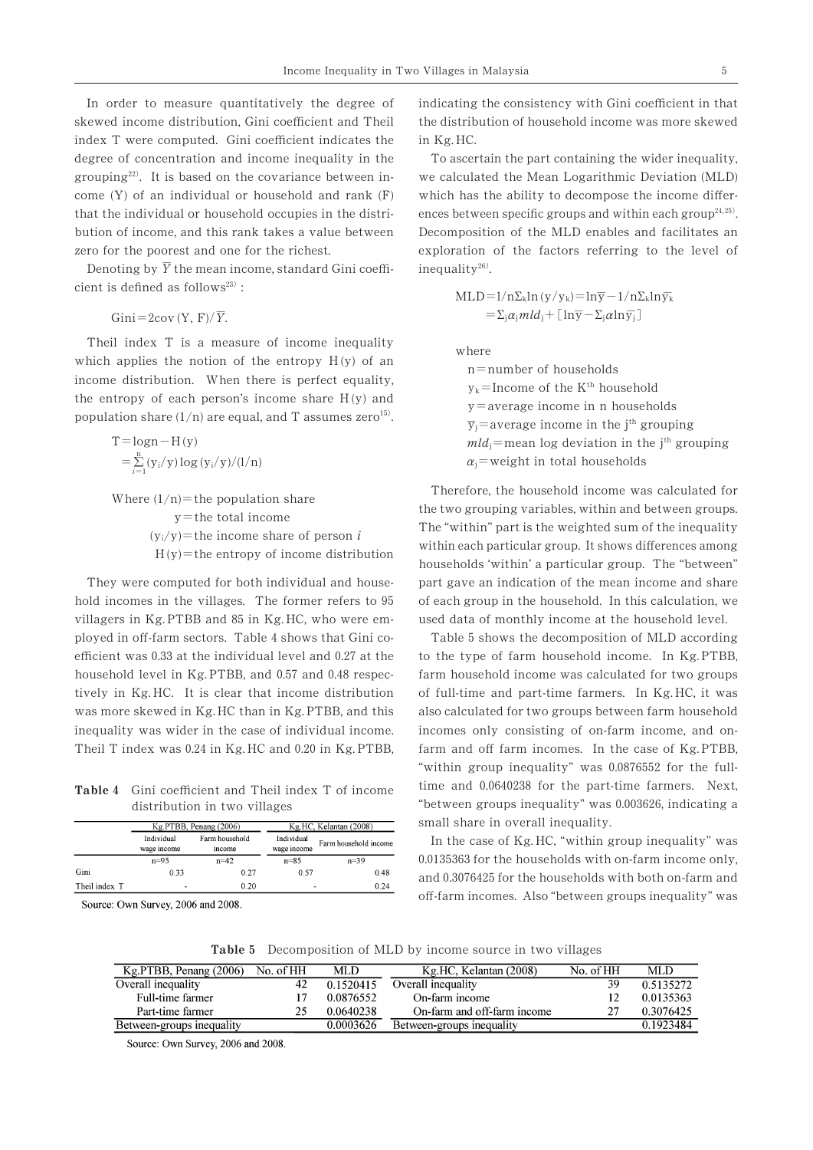22) In order to measure quantitatively the degree of indicating the consistency with Gini coefficient in that skewed income distribution, Gini coefficient and Theil the distribution of household income was more skewed index T were computed. Gini coefficient indicates the in Kg.HC. degree of concentration and income inequality in the come (Y) of an individual or household and rank  $(F)$ that the individual or household occupies in the distribution of income, and this rank takes a value between Decomposition of the MLD enables and facilitates an zero for the poorest and one for the richest. exploration of the factors referring to the level of

23) cient is defined as follows<sup>23)</sup>:<br>
MLD= $1/n\Sigma_k ln (y/y_k) = ln \overline{y} - 1/n \Sigma_k ln \overline{y}_k$ Denoting by  $\overline{Y}$  the mean income, standard Gini coeffi-  $\qquad$  inequality  $^{26)}$ .

 $=2\text{cov}(Y, F)/\overline{Y}$ .

 $\mathcal{L}$ g by  $\overline{Y}$ <br>fined a<br>=2cov<br>dex T<br>stribut<br>stribut<br>stribut<br>ogn-<br>l<br>ance<br>(gn-<br>l<br> $\sum_{n=1}^{n} (y_i/y)$ Theil index T is a measure of income inequality where which applies the notion of the entropy  $H(y)$  of an income distribution. When there is perfect equality, income distribution. When there is perfect equality,<br>the entropy of each person's income share  $H(y)$  and<br>population share  $(1/n)$  are equal, and T assumes zero<sup>15)</sup>.<br> $\overline{y}_i$  = average income in n households<br> $\overline{y}_j$  = a  $1/n$ ) are equal, and T assumes zero<sup>15</sup>

$$
\Gamma = \log n - H(y) \qquad \qquad mld
$$
  
=  $\sum_{i=1}^{n} (y_i/y) \log (y_i/y)/(1/n)$   $\alpha_j =$ 

 $1/n =$  $=$  $i$ <sub>i</sub>/y)=the income share of person *i*  $t$  = the entropy of income distribution

hold incomes in the villages. The former refers to 95 of each group in the household. In this calculation, we villagers in Kg. PTBB and 85 in Kg. HC, who were em- used data of monthly income at the household level. ployed in off-farm sectors. Table 4 shows that Gini co- Table 5 shows the decomposition of MLD according efficient was 0.33 at the individual level and 0.27 at the to the type of farm household income. In Kg. PTBB, Theil T index was 0.24 in Kg. HC and 0.20 in Kg. PTBB, farm and off farm incomes. In the case of Kg. PTBB,  $0.57$  and  $0.48$ Theil T index was 0.24 in Kg. HC and 0.20 in Kg. PTBB,

Table 4 Gini coefficient and Theil index T of income time and 0.0640238

|               |                           | Kg.PTBB, Penang (2006)   |                           | Kg.HC, Kelantan (2008) |  |  |
|---------------|---------------------------|--------------------------|---------------------------|------------------------|--|--|
|               | Individual<br>wage income | Farm household<br>income | Individual<br>wage income | Farm household income  |  |  |
|               | $n = 95$                  | $n = 42$                 | $n = 8.5$                 | $n = 39$               |  |  |
| Gini          | 0.33                      | 027                      | 0.57                      | 0.48                   |  |  |
| Theil index T |                           | 0.20                     |                           | 0.24                   |  |  |

Source: Own Survey, 2006 and 2008.

ences between specific groups and within each group<sup>24, 25</sup>). 26) ffer-To ascertain the part containing the wider inequality, we calculated the Mean Logarithmic Deviation (MLD)

Gini = 2cov (Y, F)/ $\overline{Y}$ .  $= \sum_j \alpha_j m l d_j + [\ln \overline{y} - \sum_j \alpha \ln \overline{y_j}]$ 

 $n$ =number of households  $k$ =Income of the  $K<sup>th</sup>$  $=$  $\overline{y}_i$ =average income in the j<sup>th</sup>  $T = log n - H(y)$  mean log deviation in the j<sup>th</sup> grouping  $(y_i/y) \log(y_i/y)/(1/n)$   $\alpha_j =$  weight in total households

within each particular group. It shows differences among the two grouping variables, within and between groups. Therefore, the household income was calculated for The "within" part is the weighted sum of the inequality households 'within' a particular group. The "between" They were computed for both individual and house-<br>part gave an indication of the mean income and share

farm household income was calculated for two groups tively in Kg. HC. It is clear that income distribution of full-time and part-time farmers. In Kg. HC, it was was more skewed in Kg. HC than in Kg. PTBB, and this also calculated for two groups between farm household inequality was wider in the case of individual income. incomes only consisting of on-farm income, and on-"within group inequality" was 0.0876552 for the fulltime and  $0.0640238$  for the part-time farmers. Next, distribution in two villages the state of the "between groups inequality" was 0.003626, indicating a small share in overall inequality. Table 5 shows the decomposition of MLD according

> off-farm incomes. Also "between groups inequality" was In the case of Kg. HC, "within group inequality" was  $0.0135363$  for the households with on-farm income only, and 0.3076425 for the households with both on-farm and

Table 5 Decomposition of MLD by income source in two villages

| $Kg.PTBB$ , Penang (2006) | No. of HH | MLD       | Kg.HC, Kelantan (2008)      | No. of HH | MLD.      |
|---------------------------|-----------|-----------|-----------------------------|-----------|-----------|
| Overall inequality        | 42        | 0.1520415 | Overall inequality          | 39        | 0.5135272 |
| Full-time farmer          |           | 0.0876552 | On-farm income              |           | 0.0135363 |
| Part-time farmer          | 25        | 0.0640238 | On-farm and off-farm income | 27        | 0.3076425 |
| Between-groups inequality |           | 0.0003626 | Between-groups inequality   |           | 0.1923484 |

Source: Own Survey, 2006 and 2008.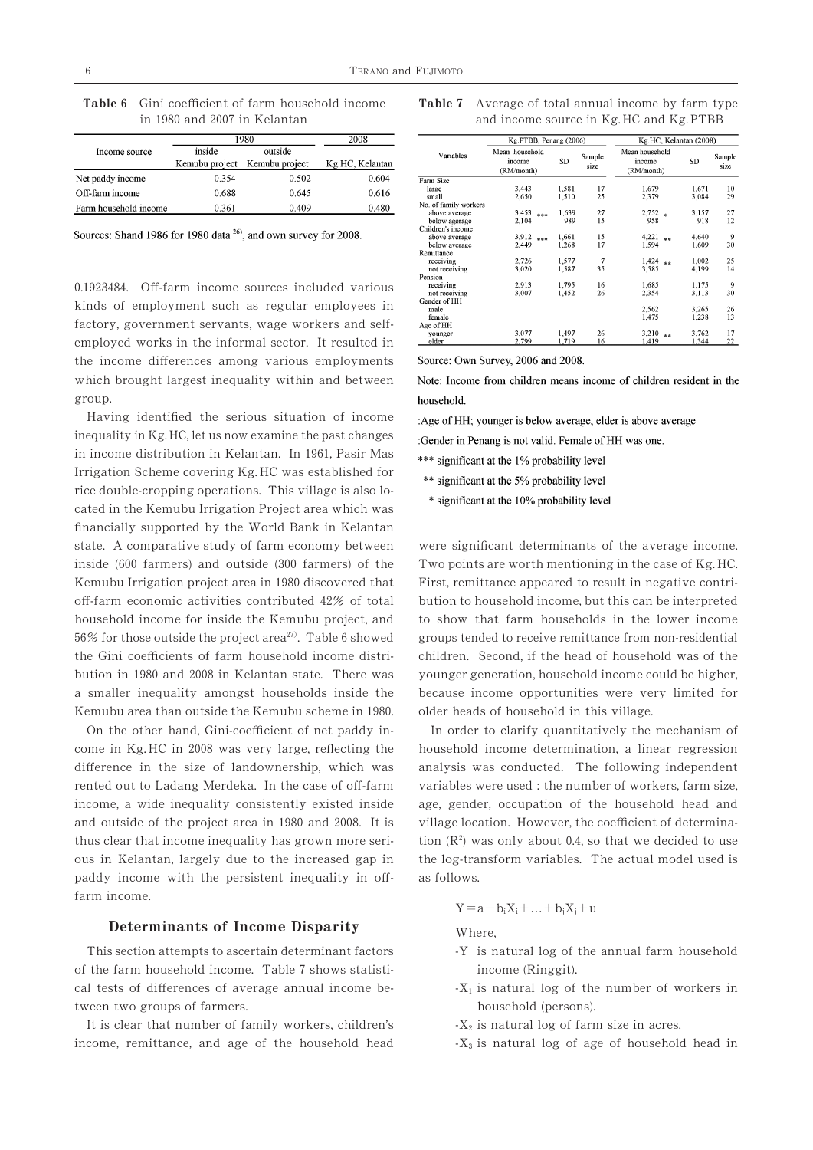|                       | 1980           | 2008           |                 |
|-----------------------|----------------|----------------|-----------------|
| Income source         | inside         | outside        |                 |
|                       | Kemubu project | Kemubu project | Kg.HC, Kelantan |
| Net paddy income      | 0.354          | 0.502          | 0.604           |
| Off-farm income       | 0.688          | 0.645          | 0.616           |
| Farm household income | 0.361          | 0.409          | 0.480           |

Table 6 Gini coefficient of farm household income Table 7 in 1980 and 2007 in Kelantan

Sources: Shand 1986 for 1980 data <sup>26</sup>, and own survey for 2008.

0.1923484. Off-farm income sources included various kinds of employment such as regular employees in factory, government servants, wage workers and selfemployed works in the informal sector. It resulted in the income differences among various employments which brought largest inequality within and between group.

 $56\%$  for those outside the project area<sup>27)</sup>. Table 6 showed off-farm economic activities contributed 42% of total bution to household income, but this can be interpreted inequality in Kg. HC, let us now examine the past changes Having identified the serious situation of income in income distribution in Kelantan. In 1961, Pasir Mas Irrigation Scheme covering Kg. HC was established for rice double-cropping operations. This village is also located in the Kemubu Irrigation Project area which was financially supported by the World Bank in Kelantan state. A comparative study of farm economy between were significant determinants of the average income. inside  $(600 \text{ farmers})$  and outside  $(300 \text{ farmers})$  of the Two points are worth mentioning in the case of Kg. HC. Kemubu Irrigation project area in 1980 discovered that First, remittance appeared to result in negative contrihousehold income for inside the Kemubu project, and to show that farm households in the lower income bution in 1980 and 2008 in Kelantan state. There was younger generation, household income could be higher, a smaller inequality amongst households inside the because income opportunities were very limited for Kemubu area than outside the Kemubu scheme in 1980. older heads of household in this village. ffi

On the other hand, Gini-coefficient of net paddy in-<br>In order to clarify quantitatively the mechanism of and outside of the project area in 1980 and 2008. It is thus clear that income inequality has grown more seripaddy income with the persistent inequality in off- as follows. farm income. ff ff

### Determinants of Income Disparity

This section attempts to ascertain determinant factors of the farm household income. Table 7 shows statisti- income (Ringgit). cal tests of differences of average annual income be- $X_1$  is natural log of the number of workers in tween two groups of farmers. household (persons).

It is clear that number of family workers, children's income, remittance, and age of the household head

Average of total annual income by farm type and income source in Kg. HC and Kg. PTBB

|                       | Kg.HC, Kelantan (2008)<br>Kg.PTBB, Penang (2006) |       |                |                                        |       |                |  |
|-----------------------|--------------------------------------------------|-------|----------------|----------------------------------------|-------|----------------|--|
| Variables             | Mean household<br>income<br>(RM/month)           | SD    | Sample<br>size | Mean household<br>income<br>(RM/month) | SD    | Sample<br>size |  |
| Farm Size             |                                                  |       |                |                                        |       |                |  |
| large                 | 3,443                                            | 1,581 | 17             | 1,679                                  | 1,671 | 10             |  |
| small                 | 2.650                                            | 1.510 | 25             | 2.379                                  | 3.084 | 29             |  |
| No. of family workers |                                                  |       |                |                                        |       |                |  |
| above average         | 3,453<br>***                                     | 1,639 | 27             | $2,752*$                               | 3,157 | 27             |  |
| below agerage         | 2,104                                            | 989   | 15             | 958                                    | 918   | 12             |  |
| Children's income     |                                                  |       |                |                                        |       |                |  |
| above average         | 3.912<br>***                                     | 1,661 | 15             | 4,221<br>s si                          | 4,640 | 9              |  |
| below average         | 2,449                                            | 1.268 | 17             | 1.594                                  | 1.609 | 30             |  |
| Remittance            |                                                  |       |                |                                        |       |                |  |
| receiving             | 2,726                                            | 1,577 | 7              | 1,424<br>**                            | 1.002 | 25             |  |
| not receiving         | 3.020                                            | 1.587 | 35             | 3.585                                  | 4.199 | 14             |  |
| Pension               |                                                  |       |                |                                        |       |                |  |
| receiving             | 2.913                                            | 1,795 | 16             | 1,685                                  | 1,175 | 9              |  |
| not receiving         | 3,007                                            | 1.452 | 26             | 2.354                                  | 3.113 | 30             |  |
| Gender of HH          |                                                  |       |                |                                        |       |                |  |
| male                  |                                                  |       |                | 2,562                                  | 3,265 | 26             |  |
| female                |                                                  |       |                | 1,475                                  | 1,238 | 13             |  |
| Age of HH             |                                                  |       |                |                                        |       |                |  |
| vounger               | 3,077                                            | 1,497 | 26             | 3,210<br>**                            | 3,762 | 17             |  |
| elder                 | 2.799                                            | 1.719 | 16             | 1.419                                  | 1.344 | 22             |  |

Source: Own Survey, 2006 and 2008.

Note: Income from children means income of children resident in the household.

:Age of HH; younger is below average, elder is above average

:Gender in Penang is not valid. Female of HH was one.

\*\*\* significant at the 1% probability level

\*\* significant at the 5% probability level

\* significant at the 10% probability level

groups tended to receive remittance from non-residential children. Second, if the head of household was of the

come in Kg. HC in 2008 was very large, reflecting the household income determination, a linear regression analysis was conducted. The following independent variables were used : the number of workers, farm size, income, a wide inequality consistently existed inside age, gender, occupation of the household head and ous in Kelantan, largely due to the increased gap in the log-transform variables. The actual model used is  $^2$ ) was only about 0.4 1980 and 2008. It is village location. However, the coeffi

$$
Y = a + b_i X_i + \dots + b_j X_j + u
$$

Where,

- -Y is natural log of the annual farm household
- $\overline{1}$
- ,
- -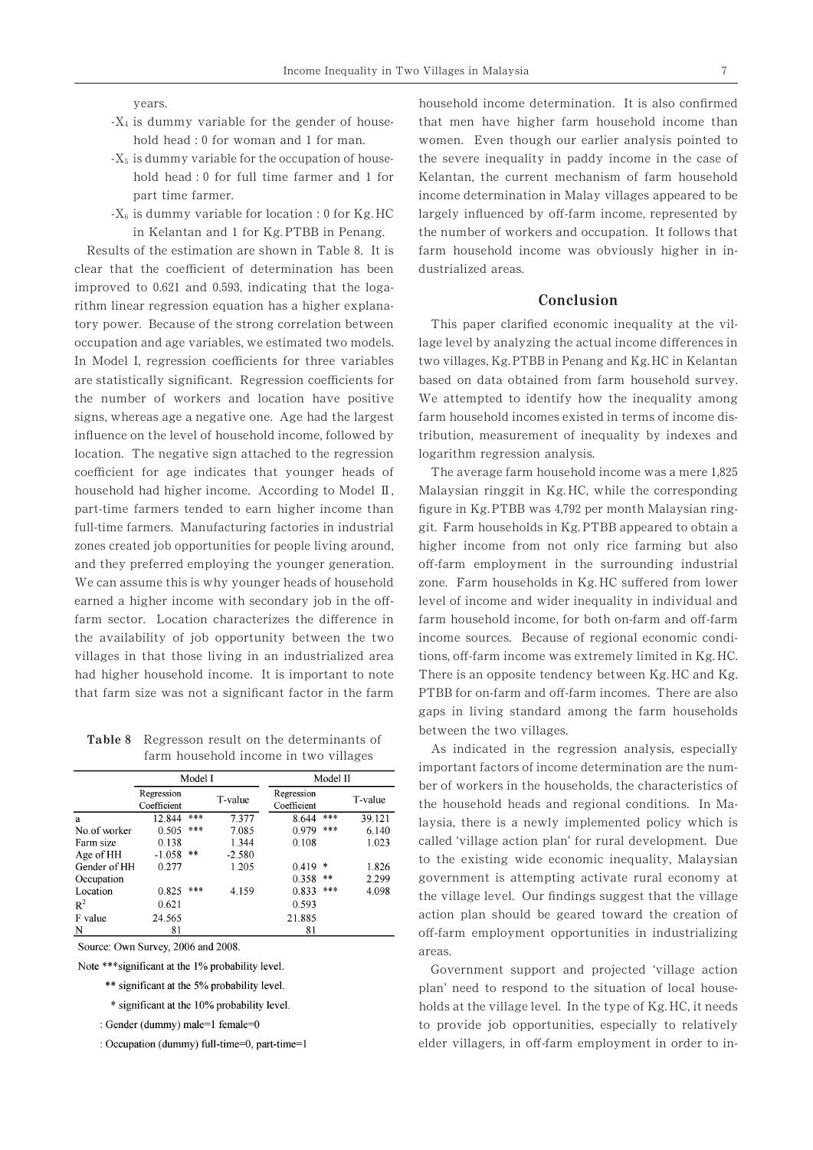- $-X_4$  is dummy variable for the gender of house-0 for woman and 1
- $_5$  is dummy variable for the occupation of household head : 0 for full time farmer and 1 for
- 0  $\mathbf{1}$

household had higher income. According to Model II, zones created job opportunities for people living around, full-time farmers. Manufacturing factories in industrial occupation and age variables, we estimated two models. clear that the coefficient of determination has been dustrialized areas. improved to  $0.621$  and  $0.593$ , indicating that the logarithm linear regression equation has a higher explanatory power. Because of the strong correlation between This paper clarified economic inequality at the vil-In Model I, regression coefficients for three variables location. The negative sign attached to the regression logarithm regression analysis. coefficient for age indicates that younger heads of The average farm household income was a mere 1, part-time farmers tended to earn higher income than and they preferred employing the younger generation. off-farm employment in the surrounding industrial We can assume this is why younger heads of household farm sector. Location characterizes the difference in the availability of job opportunity between the two income sources. Because of regional economic condivillages in that those living in an industrialized area had higher household income. It is important to note There is an opposite tendency between Kg. HC and Kg. that farm size was not a significant factor in the farm PTBB for on-farm and off-farm incomes. There are also 8 ffi ff

Regresson result on the determinants of between the two villages.<br>
farm household income in two villages and As indicated in the regression analysis, especially Table 2

|              |                           | Model I |          |                           | Model II |         |
|--------------|---------------------------|---------|----------|---------------------------|----------|---------|
|              | Regression<br>Coefficient |         | T-value  | Regression<br>Coefficient |          | T-value |
| a            | 12.844                    | ***     | 7.377    | 8.644                     | ***      | 39.121  |
| No.of worker | 0.505                     | ***     | 7.085    | 0.979                     | ***      | 6.140   |
| Farm size    | 0.138                     |         | 1.344    | 0.108                     |          | 1.023   |
| Age of HH    | $-1.058$                  | **      | $-2.580$ |                           |          |         |
| Gender of HH | 0.277                     |         | 1.205    | 0.419                     | *        | 1.826   |
| Occupation   |                           |         |          | 0.358                     | $* *$    | 2.299   |
| Location     | 0.825                     | ***     | 4.159    | 0.833                     | ***      | 4.098   |
| $R^2$        | 0.621                     |         |          | 0.593                     |          |         |
| F value      | 24.565                    |         |          | 21.885                    |          |         |
| N            | 81                        |         |          | 81                        |          |         |

Source: Own Survey, 2006 and 2008.

Note \*\*\* significant at the 1% probability level.

- \*\* significant at the 5% probability level.
- \* significant at the 10% probability level.
- : Gender (dummy) male=1 female=0

: Occupation (dummy) full-time=0, part-time=1

years. household income determination. It is also confirmed that men have higher farm household income than women. Even though our earlier analysis pointed to the severe inequality in paddy income in the case of Kelantan, the current mechanism of farm household part time farmer. income determination in Malay villages appeared to be  $-X_6$  is dummy variable for location : 0 for Kg. HC largely influenced by off-farm income, represented by the number of workers and occupation. It follows that farm household income was obviously higher in in-

# Conclusion

two villages, Kg. PTBB in Penang and Kg. HC in Kelantan lage level by analyzing the actual income differences in based on data obtained from farm household survey. the number of workers and location have positive We attempted to identify how the inequality among signs, whereas age a negative one. Age had the largest farm household incomes existed in terms of income disinfluence on the level of household income, followed by tribution, measurement of inequality by indexes and

> figure in Kg. PTBB was 4,792 per month Malaysian ring-Malaysian ringgit in Kg. HC, while the corresponding git. Farm households in Kg. PTBB appeared to obtain a higher income from not only rice farming but also level of income and wider inequality in individual and gaps in living standard among the farm households The average farm household income was a mere 1,825 ff fference in farm household income, for both on-farm and off ff

> > important factors of income determination are the number of workers in the households, the characteristics of the household heads and regional conditions. In Malaysia, there is a newly implemented policy which is called 'village action plan' for rural development. Due to the existing wide economic inequality, Malaysian government is attempting activate rural economy at the village level. Our findings suggest that the village action plan should be geared toward the creation of off-farm employment opportunities in industrializing areas.

> > Government support and projected 'village action plan' need to respond to the situation of local households at the village level. In the type of Kg. HC, it needs to provide job opportunities, especially to relatively elder villagers, in off-farm employment in order to in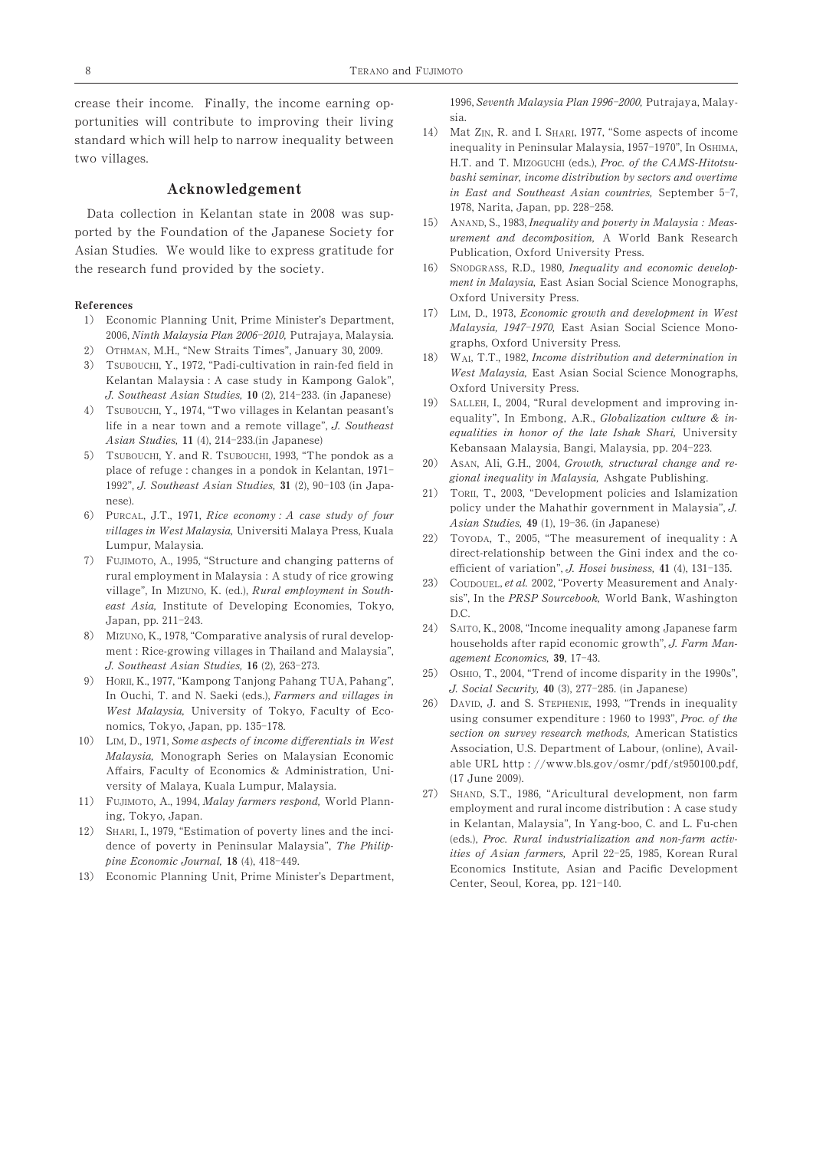crease their income. Finally, the income earning opportunities will contribute to improving their living standard which will help to narrow inequality between two villages.

# Acknowledgement

Data collection in Kelantan state in 2008 was supported by the Foundation of the Japanese Society for Asian Studies. We would like to express gratitude for the research fund provided by the society.

#### References

- 2006, Ninth Malaysia Plan 2006-2010, Putrajaya, Malaysia.
- $2)$ 2) OTHMAN, M.H., "New Straits Times", January 30, 2009.
- -THMAN AI SUBOUCHI +31, 3) J. Southeast Asian Studies, 10 (2), 214-233
- 4) TSUBOUCHI, Y., 1974, "Two villages in Kelantan peasant's 19) SALLEH, I., 200  $4)$ 11 (4), 214-233
- 5) TSUBOUCHI, Y. and R. TSUBOUCHI, 1993, "The pondok as a<br>20) ASAN, Ali, G.H., 2004, *Growth, structural change of* place of refuge : changes in a pondok in Kelantan, 1971place of refuge changes in a political interameter, i.e., referred to the property of the gional inequality in Malaysia,<br>1992", J. Southeast Asian Studies, 31 (2), 90-103 (in Japa-
- villages in West Malaysia, Universiti Malaya Press, Kuala
- 7) FUJIMOTO, A., 1995  $211 - 243$ village", In Mizuno, K. (ed.), *Rural employment in South*-<br>
east Asia, Institute of Developing Economies, Tokyo,<br>
east Asia, Institute of Developing Economies, Tokyo, Eumpur, Malaysia.<br>
Lumpur, Malaysia.<br>
TUJIMOTO, A., 1995, "Structure and changing patterns of<br>
rural employment in Malaysia : A study of rice growing<br>
village", In Mizuno, K. (ed.), *Rural employment in South*<br>
east Asia,
- 8) agement Economics, 3<br>
J. Southeast Asian Studies,  $16$  (2), 263-273. ment : Rice-growing villages in Thailand and Malaysia",
- $\frac{1}{2}$  ,  $\frac{1}{2}$  ,  $\frac{1}{2}$  ,  $\frac{1}{2}$  ,  $\frac{1}{2}$  ,  $\frac{1}{2}$  ,  $\frac{1}{2}$  ,  $\frac{1}{2}$  ,  $\frac{1}{2}$  ,  $\frac{1}{2}$  ,  $\frac{1}{2}$  ,  $\frac{1}{2}$  ,  $\frac{1}{2}$  ,  $\frac{1}{2}$  ,  $\frac{1}{2}$  ,  $\frac{1}{2}$  ,  $\frac{1}{2}$  ,  $\frac{1}{2}$  ,  $\frac{1$  $-178$ In Ouchi, T. and N. Saeki (eds.), Farmers and villages in West Malaysia, University of Tokyo, Faculty of Eco-
- Malaysia, Monograph Series on Malaysian Economic
- 11) FUJIMOTO, A., 1994, *Malay farmers respond*, World Plann-<sup>27)</sup> SHAND, S.T., 198 ing, Tokyo, Japan.
- $\mathcal{E}$ pine Economic Journal, 18 (4), 418-449. 12) SHARI, I., 1979, "Estimation of poverty lines and the incidence of poverty in Peninsular Malaysia", The Philip-
- 13) Economic Planning Unit, Prime Minister's Department,

1996, Seventh Malaysia Plan 1996-2000, Putrajaya, Malaysia.

- $14)$ inequality in Peninsular Malaysia, 1957-1970", In OSHIMA, in East and Southeast Asian countries, September 5-7, 1978, Narita, Japan, pp. 228-258. 14) Mat Z<sub>IN</sub>, R. and I. S<sub>HARI</sub>, 1977, "Some aspects of income H.T. and T. MIZOGUCHI (eds.), Proc. of the CAMS-Hitotsubashi seminar, income distribution by sectors and overtime
- $15)$ ANAND, S., 1983, Inequality and poverty in Malaysia: Measurement and decomposition, A World Bank Research Publication, Oxford University Press.
- $16)$ 16) SNODGRASS, R.D., 1980, Inequality and economic development in Malaysia, East Asian Social Science Monographs, Oxford University Press.
- 17) LIM, D., 1973, Economic growth and development in West 1. Economic Planning Unit, Prime Minister's Department, Fig. 2016. D., 1973, *Economic growth and development in West*<br>Malaysia, 1947–1970, East Asian Social Science Mono-Malaysia, 1947-1970,
	- $\frac{5}{1}$ . (I8) WAI, T.T., 1982, *Income distribution and determination in* West Malaysia, East Asian Social Science Monographs,
	- 3. (III Japanese) (19) SALLEH, L. 2004 -<br>Kebansaan Malaysia, Bangi, Malaysia, pp. 204-223 SOUGHIMAN, M.H., "New Straits Times", January 30, 2009.<br>
	TSUBOUCHI, Y., 1972, "Padi-cultivation in rain-fed field in<br>
	TSUBOUCHI, Y., 1972, "Padi-cultivation in rain-fed field in<br>
	Kelantan Malaysia : A case study in Kampong FROBOUCHI, 1, 1914, TWO VILLAGES IN RETAILLARI PEASAILLET FOR A POSTAGE FOR A LATE TO A THE LATE OF THE ISLAM STATE OF THE ISLAM STATE OF THE ISLAM STATE OF THE ISLAM STATE OF THE ISLAM STATE OF THE ISLAM STATE OF THE ISL
		- $G$ , in policion as a  $(20)$  ASAN, Ali, G.H., 2004, Growth, structural change and re-
- 3 (III Japa- 21) TORII, T., 2003 Finds of Franges in a political methanical, 1992<br>
1992", J. Southeast Asian Studies, 31 (2), 90-103 (in Japa-<br>
1992", J. Southeast Asian Studies, 31 (2), 90-103 (in Japa-<br>
21) TORII, T., 2003, "Development policies and Isl  $49(1), 19-3($ policy under the Mahathir government in Malaysia", J.
	- 22) 3, Structure and changing patterns of the efficient of variation", J. Hosei business, 41 (4), 131-135 22) TOYODA, T., 2005
		- 23) 23) COUDOUEL, et al. 2002
- $24)$ Japan, pp. 211 245.<br>
8) MIZUNO, K., 1978, "Comparative analysis of rural develop-<br>
households after rapid economic growth",  $a$ gement Economics, 39, 17-43<br>2). 263-273. SAITO, K., 2008, "Income inequality among Japanese farm  $S = \begin{pmatrix} 2.5 & 2.5 \end{pmatrix}$  (2), 263–273.<br>
(2), 263–273.<br>
(2), 263–273.<br>
(25) Oshio, T., 2004, "Trend of income disparity in the 1990s", households after rapid economic growth", J. Farm Man-
- $(2.5)$ - ORII H , K., , "Kampong Tanjong Pahang TUA, Pahang", +311 3
- 26) DAVID, J. and S. STEPHENIE, 1993 nonnes, 1983, 3 apan, pp. 133 110.<br>
10. LIM, D., 1971, Some aspects of income differentials in West Mexic, K., 1971, Kampong Lanjong Lang Lot, Lang (1971, Lang and S. Social Security, 40 (3), 277-285. (in Japanese)<br>
In Ouchi, T. and N. Saeki (eds.), Farmers and villages in<br>
West Malaysia, University of Tokyo, Faculty of of Tokyo, Faculty of Eco-<br>135-178. using consumer expenditure : 1960 to 1993 able URL http://www.bls.gov/osmr/pdf/st950100.pdf, ffairs, Faculty of Economics & Administration, Uni-<br>(17 June 2009). (17 June 2009).
	- 27) employment and rural income distribution : A case study SHAND, S.T., 1986, "Aricultural development, non farm nnsular Malaysia , *The Fhilip-*<br> *ities of Asian farmers*, April 22–25, 1985, Korean Rural<br>
	8 (4), 418–449. Center, Seoul, Korea, pp. 121-140. in Kelantan, Malaysia", In Yang-boo, C. and L. Fu-chen (eds.), Proc. Rural industrialization and non-farm activ-Economics Institute, Asian and Pacific Development